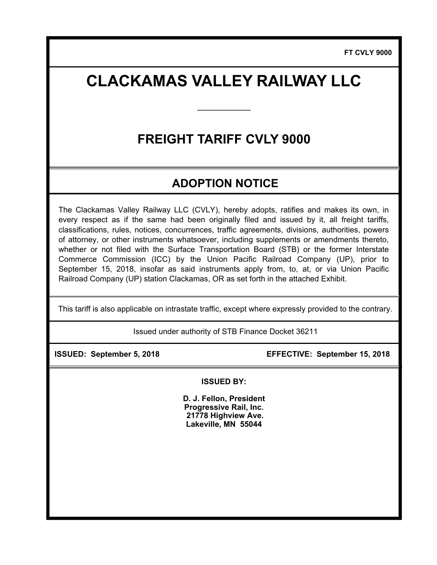# **CLACKAMAS VALLEY RAILWAY LLC**

**\_\_\_\_\_\_\_\_\_\_\_\_\_\_\_** 

# **FREIGHT TARIFF CVLY 9000**

## **ADOPTION NOTICE**

The Clackamas Valley Railway LLC (CVLY), hereby adopts, ratifies and makes its own, in every respect as if the same had been originally filed and issued by it, all freight tariffs, classifications, rules, notices, concurrences, traffic agreements, divisions, authorities, powers of attorney, or other instruments whatsoever, including supplements or amendments thereto, whether or not filed with the Surface Transportation Board (STB) or the former Interstate Commerce Commission (ICC) by the Union Pacific Railroad Company (UP), prior to September 15, 2018, insofar as said instruments apply from, to, at, or via Union Pacific Railroad Company (UP) station Clackamas, OR as set forth in the attached Exhibit.

This tariff is also applicable on intrastate traffic, except where expressly provided to the contrary.

Issued under authority of STB Finance Docket 36211

 **ISSUED: September 5, 2018 EFFECTIVE: September 15, 2018** 

**ISSUED BY:** 

**D. J. Fellon, President Progressive Rail, Inc. 21778 Highview Ave. Lakeville, MN 55044**